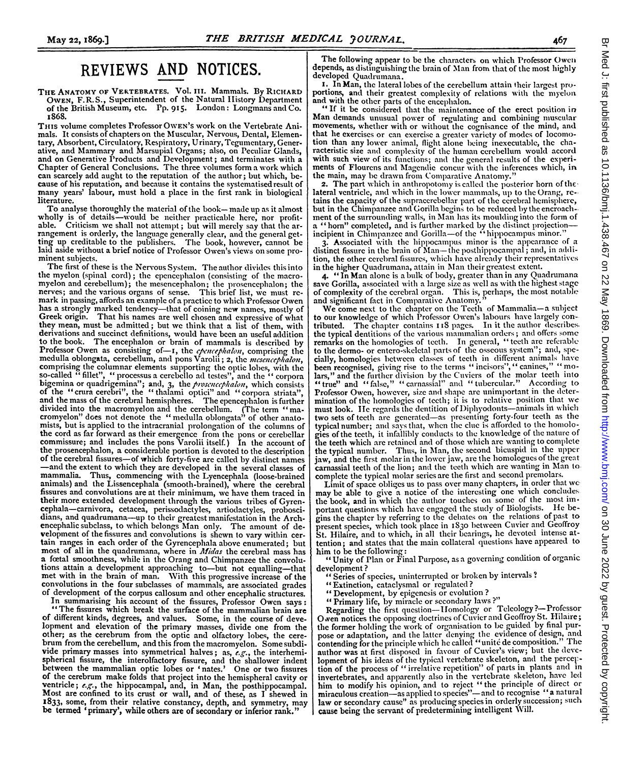## REVIEWS AND NOTICES.

THE ANATOMY OF VERTEBRATES. Vol. III. Mammals. By RICHARD OWEN, F.R.S., Superintendent of the Natural IIistory Department of the British Museum, etc. Pp. 915. London: Longmans and Co. I868.

THIS volume completes Professor OWEN's work on the Vertebrate Animals. It consists of chapters on the Muscular, Nervous, Dental, Elementary, Absorbent, Circulatory, Respiratory, Urinary, Tcgumcntary, Gener-ative, and Mammary and Marsupial Organs; also, on Peculiar Glands, and on Generative Products and Development; and terminates with a Chapter of General Conclusions. The three volumes form <sup>a</sup> work which can scarcely add aught to the reputation of the author; but which, because of his reputation, and because it contains the systematised result of many years' labour, must hold <sup>a</sup> place in the first rank in biological literature.

To analyse thoroughly the material of the book-made up as it almost wholly is of details-would be neither practicable here, nor profitable. Criticism we shall not attempt; but will merely say that the arrangement is orderly, the language generally clear, and the general get- ting up creditable to the publishers. The book, however, cannot be laid aside without <sup>a</sup> brief notice of Professor Owen's views on some pro- minent subjects.

The first of these is the Nervous System. The author divides this into the myelon (spinal cord); the cpencephalon (consisting of the macromyelon and cerebellum); the mesencephalon; the prosenceplalon; the nerves; and the various organs of sense. This brief list, we must remark in passing, affords an example of<sup>a</sup> practice to which Professor Owen has a strongly marked tendency-that of coining new names, mostly of Greek origin. That his names are well chosen and expressive of what they mean, must be admitted; but we think that a list of them, with derivations and succinct definitions, would have been an useful addition to the book. The encephalon or brain of mammals is described by to the book. The encephalon or brain of mammals is described by Professor Owen as consisting of-I, the *epencephalon*, comprising the medulla oblongata, cerebellum, and pons Varolii; 2, the *mesencephalon*, comprising the columnar elements supporting the optic lobes, with the so-called "fillet", "rorocesus a cerebello ad testes", and the "corporation" or quadrigemina"; and, 3, the *prosence proproproproproproproproproproprop* divided into the macromyelon and the cerebellum. (The term "ma-cromyelon" does not denote the " medulla oblongata" of other anatomists, but is applied to the intracranial prolongation of the columns of the cord as far forward as their emergence from the pons or cerebellar commissure; and includes the pons Varolii itself.) In the account of the prosencephalon, <sup>a</sup> considerable portion is devoted to the description of the cerebral fissures-of which forty-five are called by distinct names -and the extent to which they are developed in the several classes of mammalia. Thus, commencing with the Lyencephala (loose-brained animals) and the Lissencephala (smooth-brained), where the cerebral fissures and convolutions are at their minimum, we have them traced in their more extended development through the various tribes of Gyren cephala-carnivora, cetacea, perissodactyles, artiodactyles, probosci dians, and quadrumana-up to their greatest manifestation in the Archencephalic subclass, to which belongs Man only. The amount of development of the fissures and convolutions is shewn to vary within certain ranges in each order of the Gyrencephala above enumerated; but most of all in the quadrumana, where in *Midas* the cerebral mass has <sup>a</sup> foetal smoothness, while in the Orang and Chimpanzee the convolutions attain <sup>a</sup> development approaching to-but not equalling-that met with in the brain of man. With this progressive increase of the convolutions in the four subclasses of mammals, are associated grades of development of the corpus callosum and other encephalic structures.

"The fissures which break the surface of the mammalian brain are of different kinds, degrees, and values. Some, in the course of deve-lopment and elevation of the primary masses, divide one from the other; as the cerebrum from the optic and olfactory lobes, the cerebrum from the cerebellum, and this from the macromyelon. Some subdivide primary masses into symmetrical halves; as,  $e.g.,$  the interhemispherical fissure, the interolfactory fissure, and the shallower indent between the mammalian optic lobes or 'nates.' One or two fissures of the cerebrum make folds that project into the hemispheral cavity or ventricle;  $e.g.,$  the hippocampal, and, in Man, the posthippocampal. Most are confined to its crust or wall, and of these, as I shewed in 1833, some, from their relative constancy, depth, and symmetry, may be termed 'primary', while others are of secondary or inferior rank."

The following appear to be the characters on which Professor Owen depends, as distinguishing the brain of Man from that of the most highly developed Quadrumana.

I. In Man, the lateral lobes of the cerebellum attain their largest proportions, and their greatest complexity of relations with the myelon

portions, and with the other parts of the encephalon.<br>"If it be considered that the maintenance of the erect position in Man demands unusual power of regulating and combining muscular movements, whether with or without the cognisance of the mind, and that he exercises or can exercise a greater variety of modes of locomotion than any lower animal, flight alone being inexecutable, the characteristic size and complexity of the human cerebellum would accord with such view of its functions; and the general results of the experiments of Flourens and Magendie concur with the inferences which, in the main, may be drawn from Comparative Anatomy."

2. The part which in anthropotomy is called the posterior horn of thelateral ventricle, and which in the lower mammals, up to the Orang, retains the capacity of the supraccrebellar part of the cerebral hemisphere, but in the Chimpanzee and Gorilla begins to be reduced by the encroach-ment of the surrounding walls, in Man lias its moulding into the form of a "'horn" completed, and is further marked by the distinct projection-incipient in Chimpanzee and Gorilla-of the 'hippocampus minor."

3. Associated with the hippocampus minor is the appearance of a distinct fissure in the brain of Man- the posthippocampal; and, in addition, the other cerebral fissures, which have already their representatives in the higher Quadrumana, attain in Man their greatest extent.

4. "In Man alone is <sup>a</sup> bulk of body, greater than in any Quadrumana save Gorilla, associated witl a large size as well as with the highest stage of complexity of the cerebral organ. This is, perhaps, the most notable and significant fact in Comparative Anatomy.

We come next to the chapter on the Teeth of Mammalia-a subject to our knowledge of which Professor Owen's labours have largely contributed. The chapter contains 118 pages. In it the author describes the typical dentitions of the various mammalian orders; and offers some remarks on the homologies of teeth. In general, "teeth are referable to the dermo- or entero-skeletal parts of the osseous system"; and, specially, homologies between classes of teeth in different animals have been recognised, giving rise to the terms " incisors"," canines," "molars," and the further livision by the Cuvicrs of the molar teeth into "true" and "false," "carnassial" and "tubercular." According to Professor Owen, however, size and shape are unimportant in the determination of the homologies of teeth; it is to relative position that we must look. He regards the dentition of Diphyodonts-animals in which two sets of teeth are generated-as presenting forty-four teeth as the typical number; and says that, when the clue is afforded to the homologies of the teeth, it infallibly conducts to the knowledge of the nature of the teeth which are retained and of those which are wanting to complete the typical number. Thus, in Man, the second bicuspid in the upper jaw, and the first molar in the lower jaw, are the homologues of the great carnassial teeth of the lion; and the teetll which are wanting in Man to complete the typical molar series are the first and second premolars.

Limit of space obliges us to pass over many chapters, in order that we may be able to give <sup>a</sup> notice of the interesting one which concludes. the book, and in which the author touches on some of the most important questions which have engaged the study of Biologists. He be-<br>gins the chapter by referring to the debates on the relations of past to present species, which took place in <sup>1830</sup> between Cuvier and Geoffroy St. Hilaire, and to which, in all their bearings, he devoted intense at-tention; and states that the main collateral questions have appeared to him to be the following:

"Unity of Plan or Final Purpose, as a governing condition of organic development ?

- " Series of species, uninterrupted or broken by intervals ?
- 
- "Extinction, cataclysmal or regulated? " Development, by epigencsis or evolution ?
- " Primary life, by miracle or secondary laws?"

Regarding the first question--Homology or Teleology?--Professor O wen notices the opposing doctrines of Cuvier and Geoffroy St. Hilaire; the former holding the work of organisation to be guided by final purpose or adaptation, and the latter denying the evidence of design, and<br>contending for the principle which he called "unité de composition." The<br>composition. author was at first disposed in favour of Cuvier's view; but the devclopment of his ideas of the typical vertebrate skeleton, and the perception of the process of " irrelative repetition" of parts in plants and in invertebrates, and apparently also in the vertebrate skeleton, have led him to modify his opinion, and to reject "the principle of direct or<br>miraculous creation—as applied to species"—and to recognise "a natural law or secondary cause" as producing species in orderly succession; such cause being the servant of predetermining intelligent Will.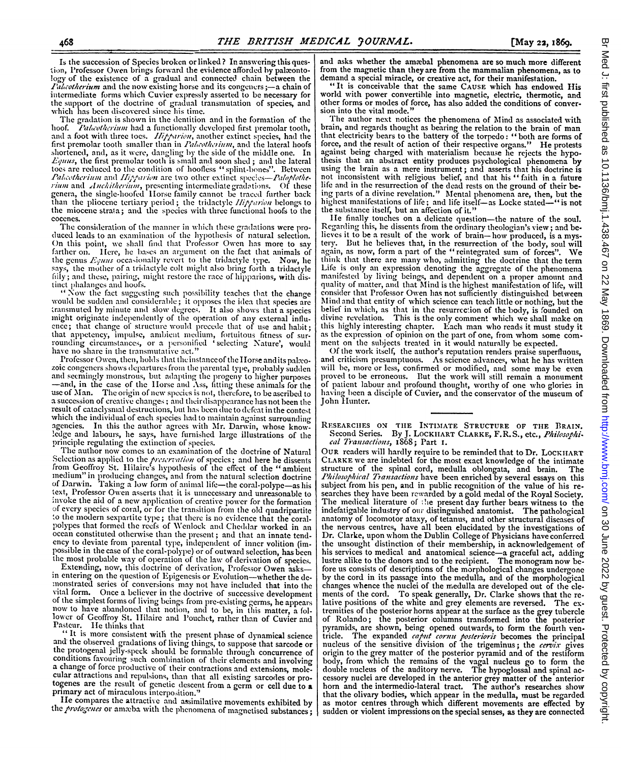Is the succession of Species broken or linked ? In answering this ques tion, Professor Owen brings forward the evidence afforded by palæontology of the existence of a gradual and connected chain between the *Palcotherium* and the now existing horse and its congeners  $\frac{1}{2}$  chain of intermediate forms which Cuvier expressly asserted to be necessary for the support of the doctrine of gradual transmutation of species, and which has been discovered since his time.

The gradation is shown in the dentition and in the formation of the hoof. *Palcotherium* had a functionally developed first premolar tooth. Palaotherium had a functionally developed first premolar tooth, and a foot with three toes. *Hirparion*, another extinct species, had the first premolar tooth smaller than in *Palcotherium*, and the lateral hoofs shortened, and, as it were, dangling by the side of the middle one. In  $Equus$ , the first premolar tooth is small and soon shed; and the lateral toes are reduced to the condition of hoofless "splint-bones". Between Palaotherium and Hipparion are two other extinct species-Paloplothe*rium* and *Anchitherium*, presenting intermediate gradations. Of these genera, the single-hoofed Horse family cannot be traced further back than the pliocene tertiary period; the tridactyle *Hipparion* belongs to the miocene strata; and the species witll three functional hoofs to the cocenes.

The consideration of the manner in which these gradations were produced leads to an examination of the hypothesis of natural selection. On this point, we shall find that Professor Owen has more to say farther on. Here, he bases an argument on the fact that animals of the genus  $E_{\text{27\textit{III}5}}$  occasionally revert to the tridactyle type. Now, he says, the mother of a tridactyle colt might also bring forth a tridactyle fily; and these, pairing, might restore the race of hipparions, with distinct phalanges and hoofs. The possibility teaches that the change "Now the fact suggesting such possibility teaches that the change

would be sudden and considerable; it opposes the idea that species are transmuted by minute and slow degrees. It also shows that a species might originate independently of the operation of any external influ-<br>ence; that change of structure would precede that of use and habit; ence; that change of structure would precede that of use and habit; that appetency, impulse, ambient medium, fortuitous fitness of surrounding circumstances, or a personified 'selecting Nature', would<br>have no share in the transmutative act."

Professor Owen, then, holds that the instance of the Horse and its paleo-zoic congeners shows departures from the parental type, probably sudden and seemingly monstrous, but adapting the progeny to higher purposes -and, in the case of the IIorse and Ass, fitting these animals for the use of Man. The origin of new species is not, therefore, to be ascribed to a succession of creative changes; and their disappearance has not been the result of cataclysmal destructions, but has been due to defeat in the contest which the individual of each species had to maintain against surrounding agencies. In this the author agrees with Mr. Darwin, whose know ledge and labours, he says, have furnished large illustrations of the principle regulating the extinction of species.

The author now comes to an examination of the doctrine of Natural Selection as applied to the *preservation* of species; and here he dissents from Geoffroy St. Hilaire's hypothesis of the effect of the "ambient" medium" in producing changes, and from the natural selection doctrine of Darwin. Taking a low form of animal life-the coral-polype-as his text, Professor Owen asserts that it is unnecessary and unreasonable to invoke the aid of a new application of creative power for the formation<br>of every species of coral, or for the transition from the old quadripartite<br>to the modern sexpartite type; that there is no evidence that the coralpolypes that formed the reefs of Wenlock and Cheddar worked in an ocean constituted otherwise than the present; and that an innate tendency to deviate from parental type, independent of inner volition (im-<br>possible in the case of the coral-polype) or of outward selection, has been possible in the case of the coral-polype) or of outward selection, has been<br>the most probable way of operation of the law of derivation of species.<br>Extending, now, this doctrine of derivation, Professor Owen asks—

in entering on the question of Epigenesis or Evolution-whether the de-monstrated series of conversions may not have included that into the vital form. Once a believer in the doctrive of successive development<br>of the simplest forms of living beings from pre-existing germs, he appears<br>now to have abandoned that notion, and to be, in this matter, a fol-<br>now to h

and the observed gradations of living things, to suppose that sarcode or the protogenal jelly-speck should be formable through concurrence of conditions favouring such combination of their elements and involving a change

I I e compares the attractive and assimilative movements exhibited by the *protogenes* or amceba with the phenomena of magnetised substances;

and asks whether the amæbal phenomena are so much more different from the magnetic than they are from the mammalian phenomena, as to demand a special miracle, or creative act, for their manifestation.

"It is conceivable that the same CAUSE which has endowed His world with power convertible into magnetic, electric, thermotic, and other forms or modes of force, has also added the conditions of conver-sion into the vital mode."

The author next notices the phenomena of Mind as associated with brain, and regards thought as bearing the relation to the brain of man that electricity bears to the battery of the torpedo: "both are forms of force, and the result of action of their respective organs." He protests against being charged with materialism because he rejects the hypo thesis that an abstract entity produces psychological phenomena by using the brain as a mere instrument; and asserts that his doctrine is not inconsistent with religious belief, and that his "faith in a future life and in the resurrection of the dead rests on the ground of their be ing parts of a divine revelation." Mental phenomena are, then, but the highest manifestations of life; and life itself-as Locke stated-" is not the substance itself, but an affection of it."

lie finally touches on a delicate question-the nature of the soul. Regarding this, he dissents from the ordinary theologian's view; and believes it to be <sup>a</sup> result of the work of brain-how produced, is <sup>a</sup> mystery. But he believes that, in the resurrection of the body, soul will again, as now, form <sup>a</sup> part of the "reintegrated sum of forces". We think that there are many who, admitting the doctrine that the term<br>Life is only an expression denoting the aggregate of the phenomena manifested by living beings, and dependent on a proper amount and quality of matter, and that Mind is the highest manifestation of life, will consider that Professor Owen has not sufficiently distinguished between Mind and that entity of which science can teach little or nothing, but the belief in which, as that in the resurrcc'ion of the body, is founded on divine revelation. This is the only comment which we shall make on this highly interesting chapter. Each man who reads it must study it as the expression of opinion on the part of one, from whom some com-<br>ment on the subjects treated in it would naturally be expected.

Of the work itself, the author's reputation renders praise superfluous, and criticism presumptuous. As science advances, what he has written will be, more or less, confirmed or modified, and some may be even proved to be erroneous. But the work will still remain a monument<br>of patient labour and profound thought, worthy of one who glories in having been a disciple of Cuvier, and the conservator of the museum of John Hunter.

## RESEARCHES ON THE INTIMATE STRUCTURE OF THE BRAIN. Second Series. By J. LOCKHART CLARKE, F.R.S., etc., Philosophical Transactions, 1868; Part I.

OUR readers will hardly require to be reminded that to Dr. LOCKHART CLARKE we are indebted for the most exact knowledge of the intimate structure of the spinal cord, medulla oblongata, and brain. Philosophical Transactions have been enriched by several essays on this subject from his pen, and in public recognition of the value of his researches they have been rewarded by <sup>a</sup> gold medal of the Royal Society. The medical literature of ;!e present day further bears witness to the indefatigable industry of our distinguished anatomist. The pathological anatomy of locomotor ataxy, of tetanus, and other structural diseases of the nervous centres, have all been elucidated by the investigations of Dr. Clarke, upon whom the Dublin College of Physicians have conferred the unsought distinction of their membership, in acknowledgement of the unsought distinction of their membership, in acknowledgement of his services to medical and anatomical science-a graceful act, adding lustre alike to the donors and to the recipient. The monogram now before us consists of descriptions of the morphological changes undergone by the cord in its passage into the medulla, and of the morphological changes whence the nuclei of the medulla are developed out of the elements of the cord. To speak generally, Dr. Clarke shows that the relative positions of the white and grey elements are reversed. The extremities of the posterior horns appear at the surface as the grey tubercle of Rolando; the posterior columns transformed into the posterior pyramids, are shown, being opened outwards, to form the fourth ventricle. The expanded *caput cornu posterioris* becomes the principal nucleus of the sensitive division of the trigeminus; the *cervix* gives origin to the grey matter of the posterior pyramid and of the restiform body, from which the remains of the vagal nucleus go to form the double nucleus of the auditory nerve. The hypoglossal and spinal accessory nuclei are developed in the anterior grey matter of the anterior horn and the intermedio-lateral tract. The author's researches show that the olivary bodies, which appear in the medulla, must be regarded as motor centres through which different movements are effected by sudden or violent impressions on the special senses, as they are connected